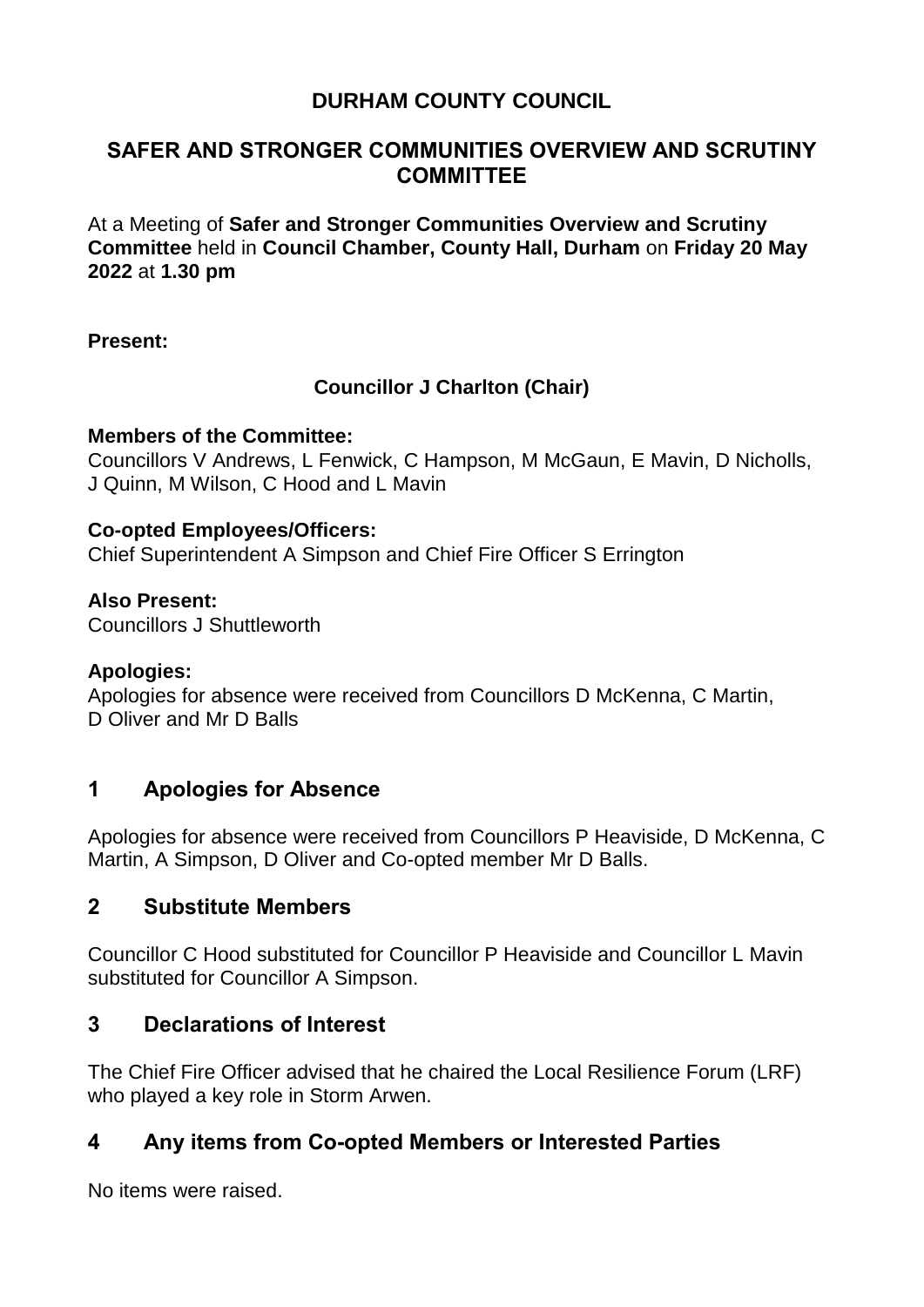# **DURHAM COUNTY COUNCIL**

## **SAFER AND STRONGER COMMUNITIES OVERVIEW AND SCRUTINY COMMITTEE**

At a Meeting of **Safer and Stronger Communities Overview and Scrutiny Committee** held in **Council Chamber, County Hall, Durham** on **Friday 20 May 2022** at **1.30 pm**

### **Present:**

## **Councillor J Charlton (Chair)**

### **Members of the Committee:**

Councillors V Andrews, L Fenwick, C Hampson, M McGaun, E Mavin, D Nicholls, J Quinn, M Wilson, C Hood and L Mavin

### **Co-opted Employees/Officers:**

Chief Superintendent A Simpson and Chief Fire Officer S Errington

#### **Also Present:**

Councillors J Shuttleworth

### **Apologies:**

Apologies for absence were received from Councillors D McKenna, C Martin, D Oliver and Mr D Balls

## **1 Apologies for Absence**

Apologies for absence were received from Councillors P Heaviside, D McKenna, C Martin, A Simpson, D Oliver and Co-opted member Mr D Balls.

## **2 Substitute Members**

Councillor C Hood substituted for Councillor P Heaviside and Councillor L Mavin substituted for Councillor A Simpson.

## **3 Declarations of Interest**

The Chief Fire Officer advised that he chaired the Local Resilience Forum (LRF) who played a key role in Storm Arwen.

## **4 Any items from Co-opted Members or Interested Parties**

No items were raised.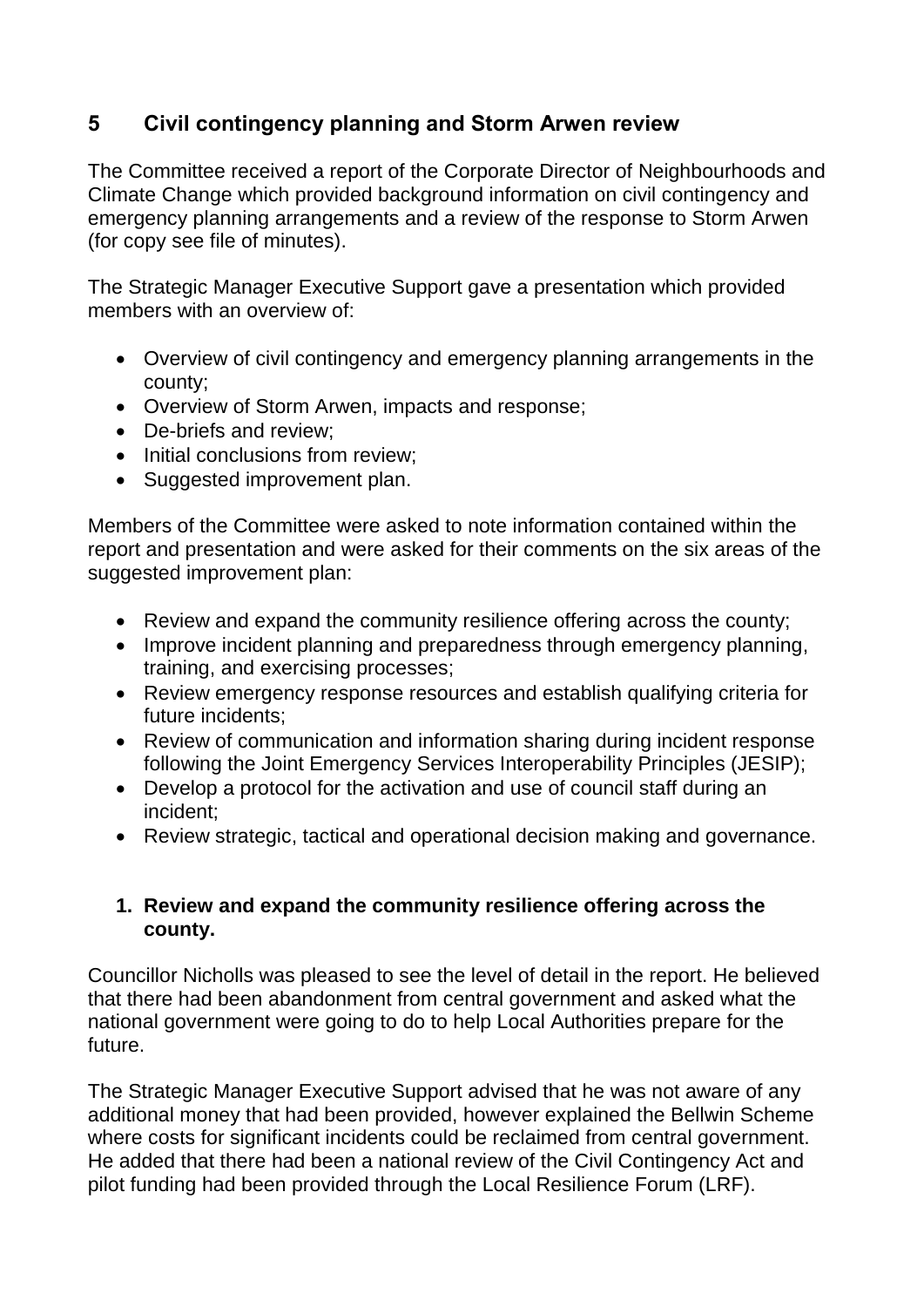# **5 Civil contingency planning and Storm Arwen review**

The Committee received a report of the Corporate Director of Neighbourhoods and Climate Change which provided background information on civil contingency and emergency planning arrangements and a review of the response to Storm Arwen (for copy see file of minutes).

The Strategic Manager Executive Support gave a presentation which provided members with an overview of:

- Overview of civil contingency and emergency planning arrangements in the county;
- Overview of Storm Arwen, impacts and response;
- De-briefs and review:
- Initial conclusions from review:
- Suggested improvement plan.

Members of the Committee were asked to note information contained within the report and presentation and were asked for their comments on the six areas of the suggested improvement plan:

- Review and expand the community resilience offering across the county;
- Improve incident planning and preparedness through emergency planning, training, and exercising processes;
- Review emergency response resources and establish qualifying criteria for future incidents;
- Review of communication and information sharing during incident response following the Joint Emergency Services Interoperability Principles (JESIP);
- Develop a protocol for the activation and use of council staff during an incident;
- Review strategic, tactical and operational decision making and governance.

### **1. Review and expand the community resilience offering across the county.**

Councillor Nicholls was pleased to see the level of detail in the report. He believed that there had been abandonment from central government and asked what the national government were going to do to help Local Authorities prepare for the future.

The Strategic Manager Executive Support advised that he was not aware of any additional money that had been provided, however explained the Bellwin Scheme where costs for significant incidents could be reclaimed from central government. He added that there had been a national review of the Civil Contingency Act and pilot funding had been provided through the Local Resilience Forum (LRF).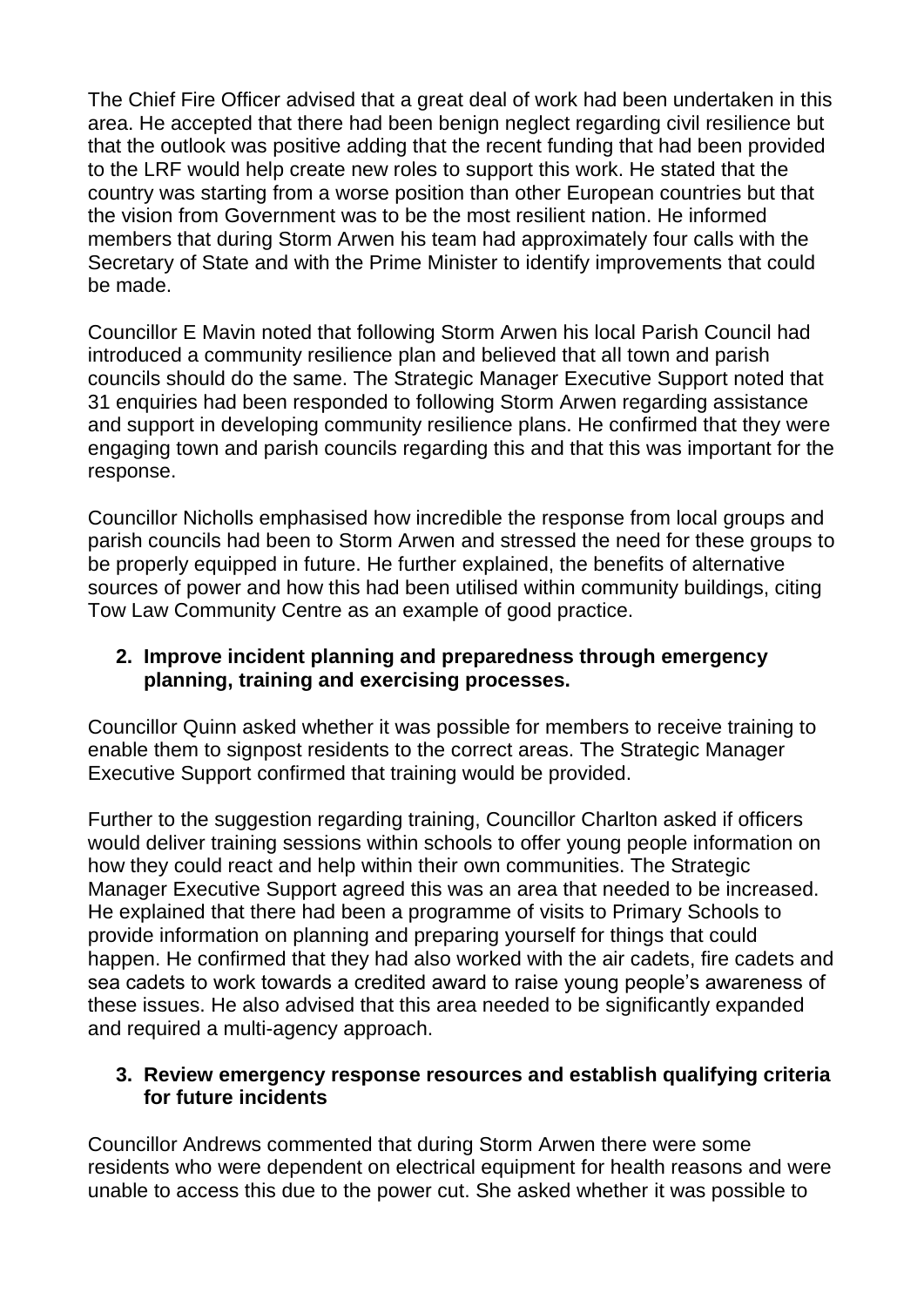The Chief Fire Officer advised that a great deal of work had been undertaken in this area. He accepted that there had been benign neglect regarding civil resilience but that the outlook was positive adding that the recent funding that had been provided to the LRF would help create new roles to support this work. He stated that the country was starting from a worse position than other European countries but that the vision from Government was to be the most resilient nation. He informed members that during Storm Arwen his team had approximately four calls with the Secretary of State and with the Prime Minister to identify improvements that could be made.

Councillor E Mavin noted that following Storm Arwen his local Parish Council had introduced a community resilience plan and believed that all town and parish councils should do the same. The Strategic Manager Executive Support noted that 31 enquiries had been responded to following Storm Arwen regarding assistance and support in developing community resilience plans. He confirmed that they were engaging town and parish councils regarding this and that this was important for the response.

Councillor Nicholls emphasised how incredible the response from local groups and parish councils had been to Storm Arwen and stressed the need for these groups to be properly equipped in future. He further explained, the benefits of alternative sources of power and how this had been utilised within community buildings, citing Tow Law Community Centre as an example of good practice.

### **2. Improve incident planning and preparedness through emergency planning, training and exercising processes.**

Councillor Quinn asked whether it was possible for members to receive training to enable them to signpost residents to the correct areas. The Strategic Manager Executive Support confirmed that training would be provided.

Further to the suggestion regarding training, Councillor Charlton asked if officers would deliver training sessions within schools to offer young people information on how they could react and help within their own communities. The Strategic Manager Executive Support agreed this was an area that needed to be increased. He explained that there had been a programme of visits to Primary Schools to provide information on planning and preparing yourself for things that could happen. He confirmed that they had also worked with the air cadets, fire cadets and sea cadets to work towards a credited award to raise young people's awareness of these issues. He also advised that this area needed to be significantly expanded and required a multi-agency approach.

#### **3. Review emergency response resources and establish qualifying criteria for future incidents**

Councillor Andrews commented that during Storm Arwen there were some residents who were dependent on electrical equipment for health reasons and were unable to access this due to the power cut. She asked whether it was possible to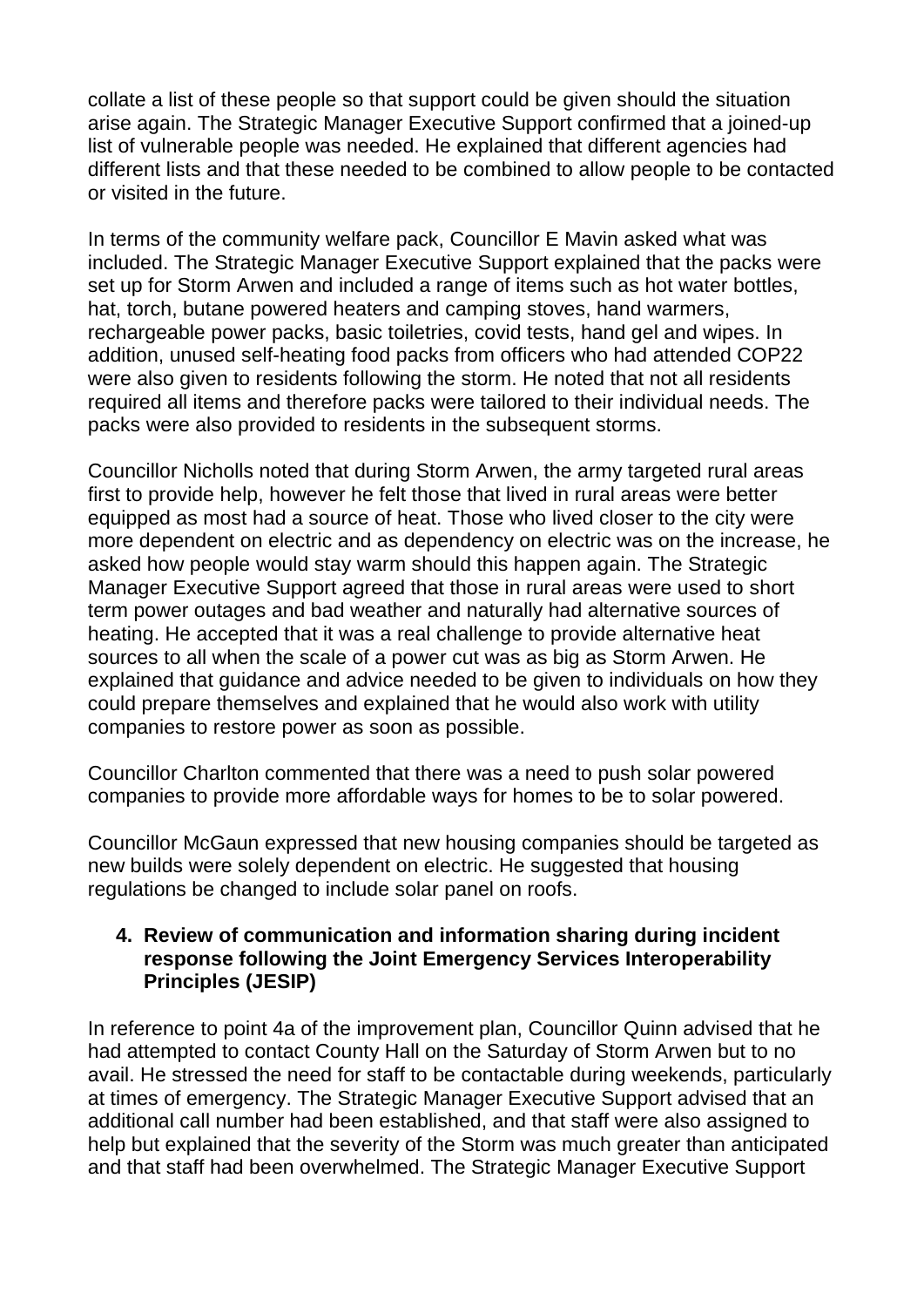collate a list of these people so that support could be given should the situation arise again. The Strategic Manager Executive Support confirmed that a joined-up list of vulnerable people was needed. He explained that different agencies had different lists and that these needed to be combined to allow people to be contacted or visited in the future.

In terms of the community welfare pack, Councillor E Mavin asked what was included. The Strategic Manager Executive Support explained that the packs were set up for Storm Arwen and included a range of items such as hot water bottles, hat, torch, butane powered heaters and camping stoves, hand warmers, rechargeable power packs, basic toiletries, covid tests, hand gel and wipes. In addition, unused self-heating food packs from officers who had attended COP22 were also given to residents following the storm. He noted that not all residents required all items and therefore packs were tailored to their individual needs. The packs were also provided to residents in the subsequent storms.

Councillor Nicholls noted that during Storm Arwen, the army targeted rural areas first to provide help, however he felt those that lived in rural areas were better equipped as most had a source of heat. Those who lived closer to the city were more dependent on electric and as dependency on electric was on the increase, he asked how people would stay warm should this happen again. The Strategic Manager Executive Support agreed that those in rural areas were used to short term power outages and bad weather and naturally had alternative sources of heating. He accepted that it was a real challenge to provide alternative heat sources to all when the scale of a power cut was as big as Storm Arwen. He explained that guidance and advice needed to be given to individuals on how they could prepare themselves and explained that he would also work with utility companies to restore power as soon as possible.

Councillor Charlton commented that there was a need to push solar powered companies to provide more affordable ways for homes to be to solar powered.

Councillor McGaun expressed that new housing companies should be targeted as new builds were solely dependent on electric. He suggested that housing regulations be changed to include solar panel on roofs.

#### **4. Review of communication and information sharing during incident response following the Joint Emergency Services Interoperability Principles (JESIP)**

In reference to point 4a of the improvement plan, Councillor Quinn advised that he had attempted to contact County Hall on the Saturday of Storm Arwen but to no avail. He stressed the need for staff to be contactable during weekends, particularly at times of emergency. The Strategic Manager Executive Support advised that an additional call number had been established, and that staff were also assigned to help but explained that the severity of the Storm was much greater than anticipated and that staff had been overwhelmed. The Strategic Manager Executive Support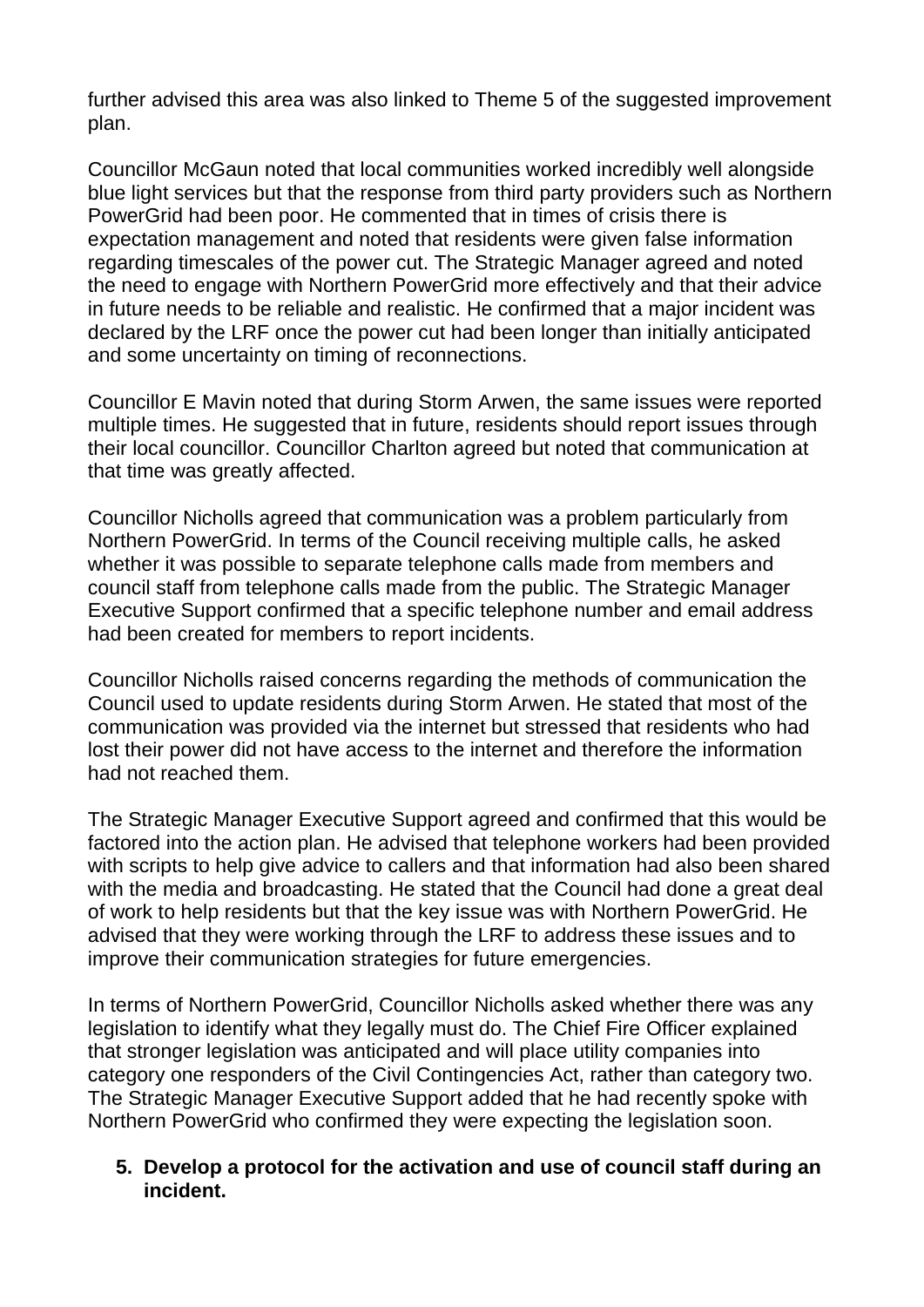further advised this area was also linked to Theme 5 of the suggested improvement plan.

Councillor McGaun noted that local communities worked incredibly well alongside blue light services but that the response from third party providers such as Northern PowerGrid had been poor. He commented that in times of crisis there is expectation management and noted that residents were given false information regarding timescales of the power cut. The Strategic Manager agreed and noted the need to engage with Northern PowerGrid more effectively and that their advice in future needs to be reliable and realistic. He confirmed that a major incident was declared by the LRF once the power cut had been longer than initially anticipated and some uncertainty on timing of reconnections.

Councillor E Mavin noted that during Storm Arwen, the same issues were reported multiple times. He suggested that in future, residents should report issues through their local councillor. Councillor Charlton agreed but noted that communication at that time was greatly affected.

Councillor Nicholls agreed that communication was a problem particularly from Northern PowerGrid. In terms of the Council receiving multiple calls, he asked whether it was possible to separate telephone calls made from members and council staff from telephone calls made from the public. The Strategic Manager Executive Support confirmed that a specific telephone number and email address had been created for members to report incidents.

Councillor Nicholls raised concerns regarding the methods of communication the Council used to update residents during Storm Arwen. He stated that most of the communication was provided via the internet but stressed that residents who had lost their power did not have access to the internet and therefore the information had not reached them.

The Strategic Manager Executive Support agreed and confirmed that this would be factored into the action plan. He advised that telephone workers had been provided with scripts to help give advice to callers and that information had also been shared with the media and broadcasting. He stated that the Council had done a great deal of work to help residents but that the key issue was with Northern PowerGrid. He advised that they were working through the LRF to address these issues and to improve their communication strategies for future emergencies.

In terms of Northern PowerGrid, Councillor Nicholls asked whether there was any legislation to identify what they legally must do. The Chief Fire Officer explained that stronger legislation was anticipated and will place utility companies into category one responders of the Civil Contingencies Act, rather than category two. The Strategic Manager Executive Support added that he had recently spoke with Northern PowerGrid who confirmed they were expecting the legislation soon.

#### **5. Develop a protocol for the activation and use of council staff during an incident.**